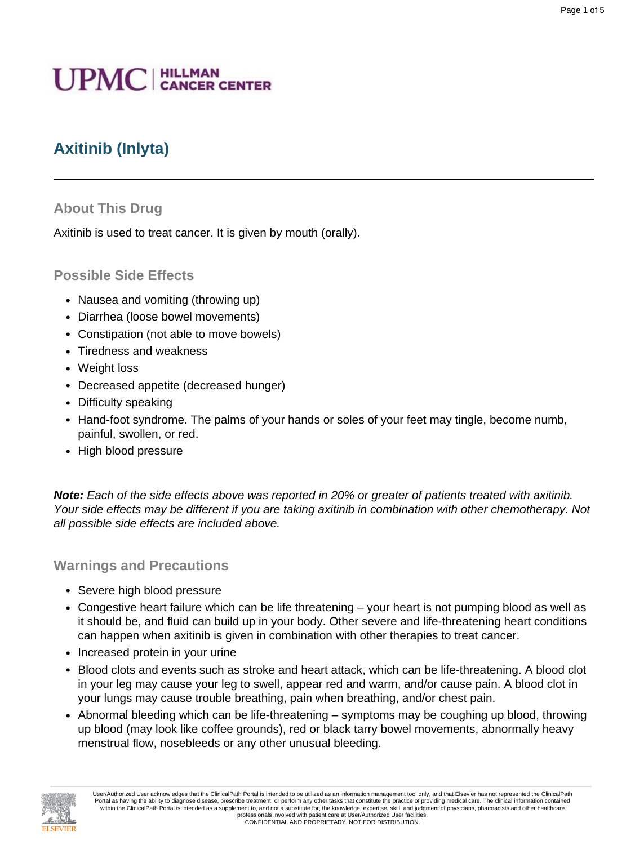# **UPMC** | HILLMAN

# **Axitinib (Inlyta)**

## **About This Drug**

Axitinib is used to treat cancer. It is given by mouth (orally).

## **Possible Side Effects**

- Nausea and vomiting (throwing up)
- Diarrhea (loose bowel movements)
- Constipation (not able to move bowels)
- Tiredness and weakness
- Weight loss
- Decreased appetite (decreased hunger)
- Difficulty speaking
- Hand-foot syndrome. The palms of your hands or soles of your feet may tingle, become numb, painful, swollen, or red.
- High blood pressure

**Note:** Each of the side effects above was reported in 20% or greater of patients treated with axitinib. Your side effects may be different if you are taking axitinib in combination with other chemotherapy. Not all possible side effects are included above.

#### **Warnings and Precautions**

- Severe high blood pressure
- Congestive heart failure which can be life threatening your heart is not pumping blood as well as it should be, and fluid can build up in your body. Other severe and life-threatening heart conditions can happen when axitinib is given in combination with other therapies to treat cancer.
- Increased protein in your urine
- Blood clots and events such as stroke and heart attack, which can be life-threatening. A blood clot in your leg may cause your leg to swell, appear red and warm, and/or cause pain. A blood clot in your lungs may cause trouble breathing, pain when breathing, and/or chest pain.
- Abnormal bleeding which can be life-threatening symptoms may be coughing up blood, throwing up blood (may look like coffee grounds), red or black tarry bowel movements, abnormally heavy menstrual flow, nosebleeds or any other unusual bleeding.

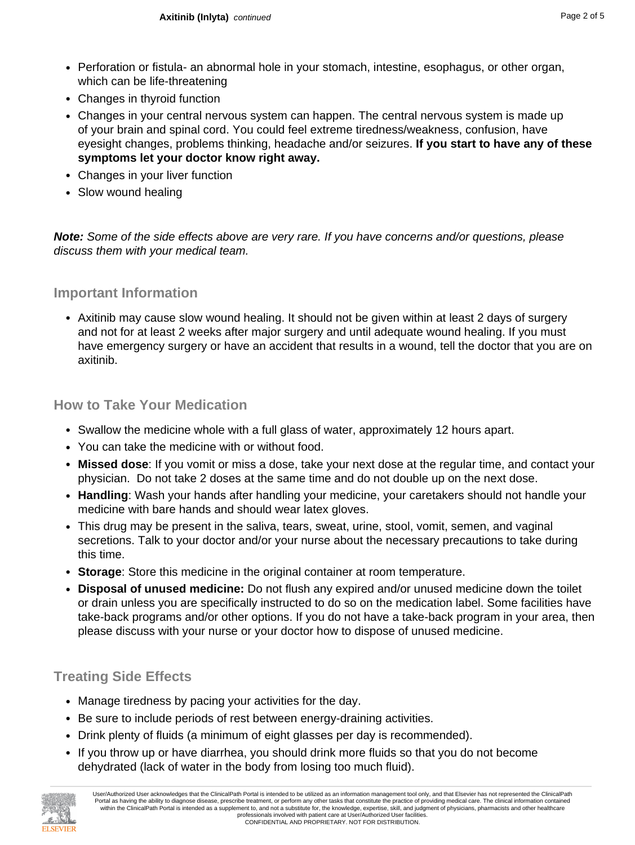- Perforation or fistula- an abnormal hole in your stomach, intestine, esophagus, or other organ, which can be life-threatening
- Changes in thyroid function
- Changes in your central nervous system can happen. The central nervous system is made up of your brain and spinal cord. You could feel extreme tiredness/weakness, confusion, have eyesight changes, problems thinking, headache and/or seizures. **If you start to have any of these symptoms let your doctor know right away.**
- Changes in your liver function
- Slow wound healing

**Note:** Some of the side effects above are very rare. If you have concerns and/or questions, please discuss them with your medical team.

#### **Important Information**

• Axitinib may cause slow wound healing. It should not be given within at least 2 days of surgery and not for at least 2 weeks after major surgery and until adequate wound healing. If you must have emergency surgery or have an accident that results in a wound, tell the doctor that you are on axitinib.

#### **How to Take Your Medication**

- Swallow the medicine whole with a full glass of water, approximately 12 hours apart.
- You can take the medicine with or without food.
- **Missed dose**: If you vomit or miss a dose, take your next dose at the regular time, and contact your physician. Do not take 2 doses at the same time and do not double up on the next dose.
- **Handling**: Wash your hands after handling your medicine, your caretakers should not handle your medicine with bare hands and should wear latex gloves.
- This drug may be present in the saliva, tears, sweat, urine, stool, vomit, semen, and vaginal secretions. Talk to your doctor and/or your nurse about the necessary precautions to take during this time.
- **Storage**: Store this medicine in the original container at room temperature.
- **Disposal of unused medicine:** Do not flush any expired and/or unused medicine down the toilet or drain unless you are specifically instructed to do so on the medication label. Some facilities have take-back programs and/or other options. If you do not have a take-back program in your area, then please discuss with your nurse or your doctor how to dispose of unused medicine.

# **Treating Side Effects**

- Manage tiredness by pacing your activities for the day.
- Be sure to include periods of rest between energy-draining activities.
- Drink plenty of fluids (a minimum of eight glasses per day is recommended).
- If you throw up or have diarrhea, you should drink more fluids so that you do not become dehydrated (lack of water in the body from losing too much fluid).

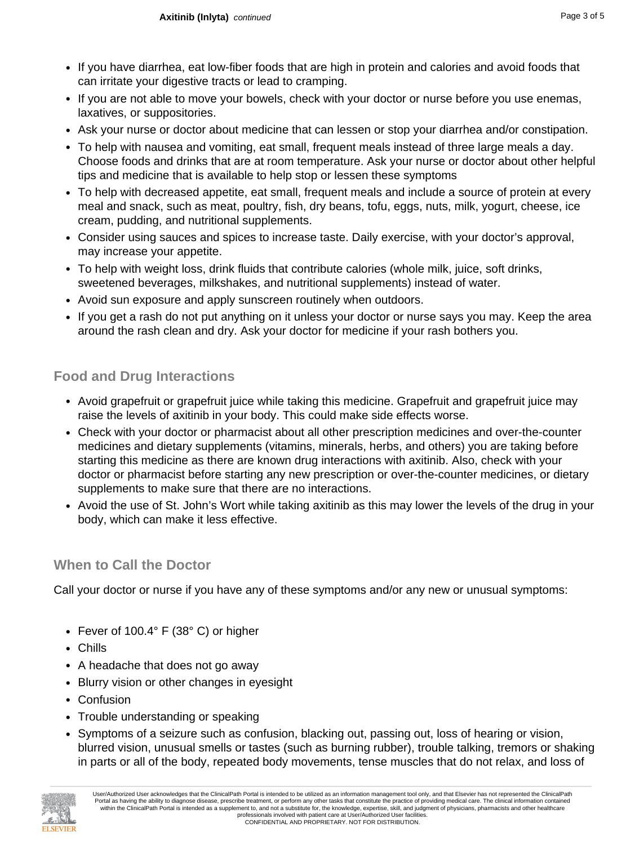- If you have diarrhea, eat low-fiber foods that are high in protein and calories and avoid foods that can irritate your digestive tracts or lead to cramping.
- If you are not able to move your bowels, check with your doctor or nurse before you use enemas, laxatives, or suppositories.
- Ask your nurse or doctor about medicine that can lessen or stop your diarrhea and/or constipation.
- To help with nausea and vomiting, eat small, frequent meals instead of three large meals a day. Choose foods and drinks that are at room temperature. Ask your nurse or doctor about other helpful tips and medicine that is available to help stop or lessen these symptoms
- To help with decreased appetite, eat small, frequent meals and include a source of protein at every meal and snack, such as meat, poultry, fish, dry beans, tofu, eggs, nuts, milk, yogurt, cheese, ice cream, pudding, and nutritional supplements.
- Consider using sauces and spices to increase taste. Daily exercise, with your doctor's approval, may increase your appetite.
- To help with weight loss, drink fluids that contribute calories (whole milk, juice, soft drinks, sweetened beverages, milkshakes, and nutritional supplements) instead of water.
- Avoid sun exposure and apply sunscreen routinely when outdoors.
- If you get a rash do not put anything on it unless your doctor or nurse says you may. Keep the area around the rash clean and dry. Ask your doctor for medicine if your rash bothers you.

# **Food and Drug Interactions**

- Avoid grapefruit or grapefruit juice while taking this medicine. Grapefruit and grapefruit juice may raise the levels of axitinib in your body. This could make side effects worse.
- Check with your doctor or pharmacist about all other prescription medicines and over-the-counter medicines and dietary supplements (vitamins, minerals, herbs, and others) you are taking before starting this medicine as there are known drug interactions with axitinib. Also, check with your doctor or pharmacist before starting any new prescription or over-the-counter medicines, or dietary supplements to make sure that there are no interactions.
- Avoid the use of St. John's Wort while taking axitinib as this may lower the levels of the drug in your body, which can make it less effective.

# **When to Call the Doctor**

Call your doctor or nurse if you have any of these symptoms and/or any new or unusual symptoms:

- Fever of 100.4° F (38° C) or higher
- Chills
- A headache that does not go away
- Blurry vision or other changes in eyesight
- Confusion
- Trouble understanding or speaking
- Symptoms of a seizure such as confusion, blacking out, passing out, loss of hearing or vision, blurred vision, unusual smells or tastes (such as burning rubber), trouble talking, tremors or shaking in parts or all of the body, repeated body movements, tense muscles that do not relax, and loss of

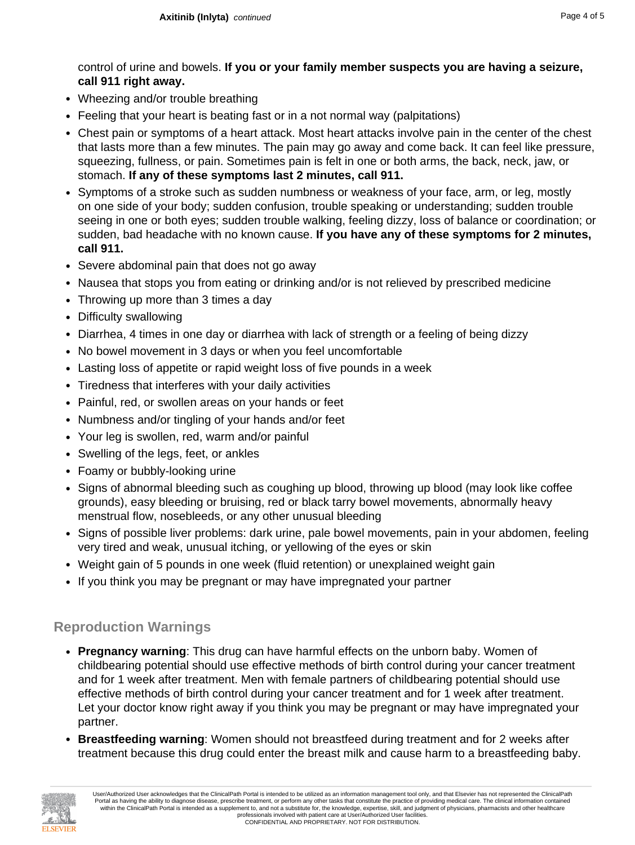control of urine and bowels. **If you or your family member suspects you are having a seizure, call 911 right away.**

- Wheezing and/or trouble breathing
- Feeling that your heart is beating fast or in a not normal way (palpitations)
- Chest pain or symptoms of a heart attack. Most heart attacks involve pain in the center of the chest that lasts more than a few minutes. The pain may go away and come back. It can feel like pressure, squeezing, fullness, or pain. Sometimes pain is felt in one or both arms, the back, neck, jaw, or stomach. **If any of these symptoms last 2 minutes, call 911.**
- Symptoms of a stroke such as sudden numbness or weakness of your face, arm, or leg, mostly on one side of your body; sudden confusion, trouble speaking or understanding; sudden trouble seeing in one or both eyes; sudden trouble walking, feeling dizzy, loss of balance or coordination; or sudden, bad headache with no known cause. **If you have any of these symptoms for 2 minutes, call 911.**
- Severe abdominal pain that does not go away
- Nausea that stops you from eating or drinking and/or is not relieved by prescribed medicine
- Throwing up more than 3 times a day
- Difficulty swallowing
- Diarrhea, 4 times in one day or diarrhea with lack of strength or a feeling of being dizzy
- No bowel movement in 3 days or when you feel uncomfortable
- Lasting loss of appetite or rapid weight loss of five pounds in a week
- Tiredness that interferes with your daily activities
- Painful, red, or swollen areas on your hands or feet
- Numbness and/or tingling of your hands and/or feet
- Your leg is swollen, red, warm and/or painful
- Swelling of the legs, feet, or ankles
- Foamy or bubbly-looking urine
- Signs of abnormal bleeding such as coughing up blood, throwing up blood (may look like coffee grounds), easy bleeding or bruising, red or black tarry bowel movements, abnormally heavy menstrual flow, nosebleeds, or any other unusual bleeding
- Signs of possible liver problems: dark urine, pale bowel movements, pain in your abdomen, feeling very tired and weak, unusual itching, or yellowing of the eyes or skin
- Weight gain of 5 pounds in one week (fluid retention) or unexplained weight gain
- If you think you may be pregnant or may have impregnated your partner

#### **Reproduction Warnings**

- **Pregnancy warning**: This drug can have harmful effects on the unborn baby. Women of childbearing potential should use effective methods of birth control during your cancer treatment and for 1 week after treatment. Men with female partners of childbearing potential should use effective methods of birth control during your cancer treatment and for 1 week after treatment. Let your doctor know right away if you think you may be pregnant or may have impregnated your partner.
- **Breastfeeding warning**: Women should not breastfeed during treatment and for 2 weeks after treatment because this drug could enter the breast milk and cause harm to a breastfeeding baby.